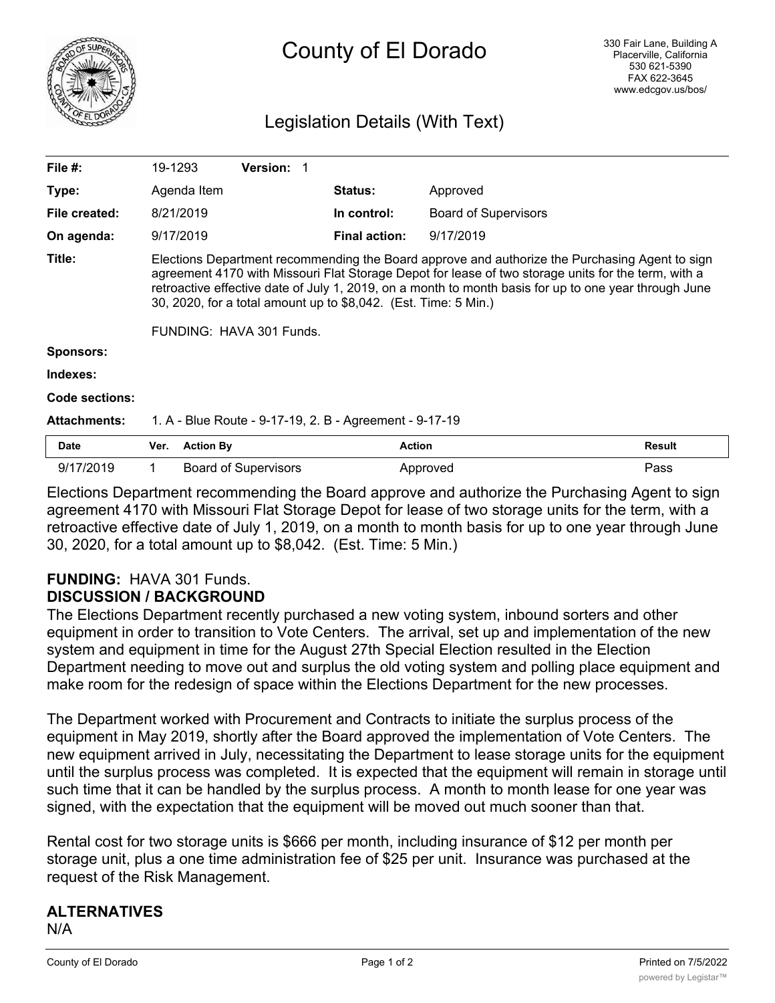

# County of El Dorado

# Legislation Details (With Text)

| File #:             | 19-1293                                                                                                                                                                                                                                                                                                                                                                                                       |                  | <b>Version:</b>             |                      |                             |               |
|---------------------|---------------------------------------------------------------------------------------------------------------------------------------------------------------------------------------------------------------------------------------------------------------------------------------------------------------------------------------------------------------------------------------------------------------|------------------|-----------------------------|----------------------|-----------------------------|---------------|
| Type:               |                                                                                                                                                                                                                                                                                                                                                                                                               | Agenda Item      |                             | <b>Status:</b>       | Approved                    |               |
| File created:       |                                                                                                                                                                                                                                                                                                                                                                                                               | 8/21/2019        |                             | In control:          | <b>Board of Supervisors</b> |               |
| On agenda:          |                                                                                                                                                                                                                                                                                                                                                                                                               | 9/17/2019        |                             | <b>Final action:</b> | 9/17/2019                   |               |
| Title:              | Elections Department recommending the Board approve and authorize the Purchasing Agent to sign<br>agreement 4170 with Missouri Flat Storage Depot for lease of two storage units for the term, with a<br>retroactive effective date of July 1, 2019, on a month to month basis for up to one year through June<br>30, 2020, for a total amount up to \$8,042. (Est. Time: 5 Min.)<br>FUNDING: HAVA 301 Funds. |                  |                             |                      |                             |               |
| <b>Sponsors:</b>    |                                                                                                                                                                                                                                                                                                                                                                                                               |                  |                             |                      |                             |               |
| Indexes:            |                                                                                                                                                                                                                                                                                                                                                                                                               |                  |                             |                      |                             |               |
| Code sections:      |                                                                                                                                                                                                                                                                                                                                                                                                               |                  |                             |                      |                             |               |
| <b>Attachments:</b> | 1. A - Blue Route - 9-17-19, 2. B - Agreement - 9-17-19                                                                                                                                                                                                                                                                                                                                                       |                  |                             |                      |                             |               |
| <b>Date</b>         | Ver.                                                                                                                                                                                                                                                                                                                                                                                                          | <b>Action By</b> |                             | <b>Action</b>        |                             | <b>Result</b> |
| 9/17/2019           | 1.                                                                                                                                                                                                                                                                                                                                                                                                            |                  | <b>Board of Supervisors</b> |                      | Approved                    | Pass          |

Elections Department recommending the Board approve and authorize the Purchasing Agent to sign agreement 4170 with Missouri Flat Storage Depot for lease of two storage units for the term, with a retroactive effective date of July 1, 2019, on a month to month basis for up to one year through June 30, 2020, for a total amount up to \$8,042. (Est. Time: 5 Min.)

## **FUNDING:** HAVA 301 Funds. **DISCUSSION / BACKGROUND**

The Elections Department recently purchased a new voting system, inbound sorters and other equipment in order to transition to Vote Centers. The arrival, set up and implementation of the new system and equipment in time for the August 27th Special Election resulted in the Election Department needing to move out and surplus the old voting system and polling place equipment and make room for the redesign of space within the Elections Department for the new processes.

The Department worked with Procurement and Contracts to initiate the surplus process of the equipment in May 2019, shortly after the Board approved the implementation of Vote Centers. The new equipment arrived in July, necessitating the Department to lease storage units for the equipment until the surplus process was completed. It is expected that the equipment will remain in storage until such time that it can be handled by the surplus process. A month to month lease for one year was signed, with the expectation that the equipment will be moved out much sooner than that.

Rental cost for two storage units is \$666 per month, including insurance of \$12 per month per storage unit, plus a one time administration fee of \$25 per unit. Insurance was purchased at the request of the Risk Management.

# **ALTERNATIVES**

N/A